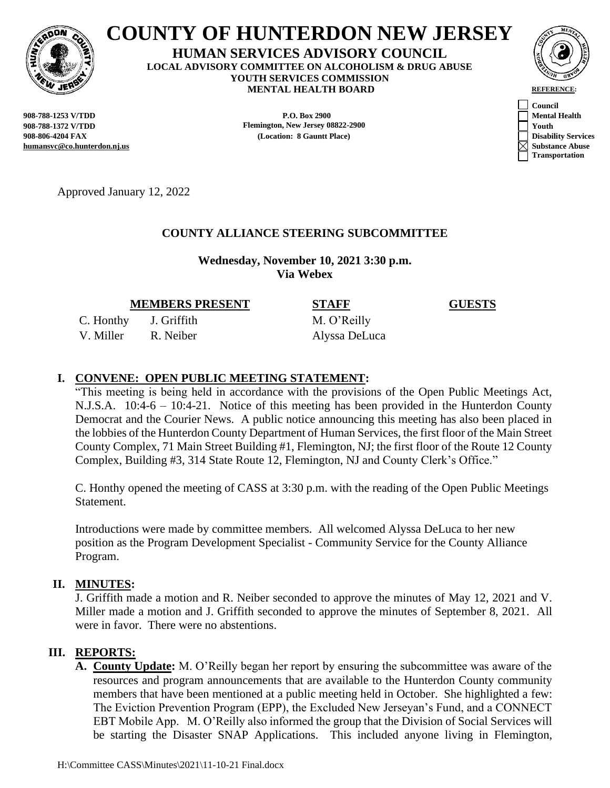

# **COUNTY OF HUNTERDON NEW JERSEY**

**HUMAN SERVICES ADVISORY COUNCIL LOCAL ADVISORY COMMITTEE ON ALCOHOLISM & DRUG ABUSE YOUTH SERVICES COMMISSION MENTAL HEALTH BOARD REFERENCE:** 



**humansvc@co.hunterdon.nj.us Substance Abuse**

**P.O. Box 2900 P.O. Box 2900 P.O. And The P.O. Box 2900 P.O. Box 2900 P.O. Box 2900 P.O. Box 2900 908-788-1372 V/TDD Flemington, New Jersey 08822-2900 Youth 908-806-4204 FAX (Location: 8 Gauntt Place) Disability Services**



Approved January 12, 2022

# **COUNTY ALLIANCE STEERING SUBCOMMITTEE**

**Wednesday, November 10, 2021 3:30 p.m. Via Webex**

**MEMBERS PRESENT STAFF GUESTS**

C. Honthy J. Griffith M. O'Reilly V. Miller R. Neiber Alyssa DeLuca

## **I. CONVENE: OPEN PUBLIC MEETING STATEMENT:**

"This meeting is being held in accordance with the provisions of the Open Public Meetings Act, N.J.S.A. 10:4-6 – 10:4-21. Notice of this meeting has been provided in the Hunterdon County Democrat and the Courier News. A public notice announcing this meeting has also been placed in the lobbies of the Hunterdon County Department of Human Services, the first floor of the Main Street County Complex, 71 Main Street Building #1, Flemington, NJ; the first floor of the Route 12 County Complex, Building #3, 314 State Route 12, Flemington, NJ and County Clerk's Office."

C. Honthy opened the meeting of CASS at 3:30 p.m. with the reading of the Open Public Meetings Statement.

Introductions were made by committee members. All welcomed Alyssa DeLuca to her new position as the Program Development Specialist - Community Service for the County Alliance Program.

#### **II. MINUTES:**

J. Griffith made a motion and R. Neiber seconded to approve the minutes of May 12, 2021 and V. Miller made a motion and J. Griffith seconded to approve the minutes of September 8, 2021. All were in favor. There were no abstentions.

#### **III. REPORTS:**

**A. County Update:** M. O'Reilly began her report by ensuring the subcommittee was aware of the resources and program announcements that are available to the Hunterdon County community members that have been mentioned at a public meeting held in October. She highlighted a few: The Eviction Prevention Program (EPP), the Excluded New Jerseyan's Fund, and a CONNECT EBT Mobile App. M. O'Reilly also informed the group that the Division of Social Services will be starting the Disaster SNAP Applications. This included anyone living in Flemington,